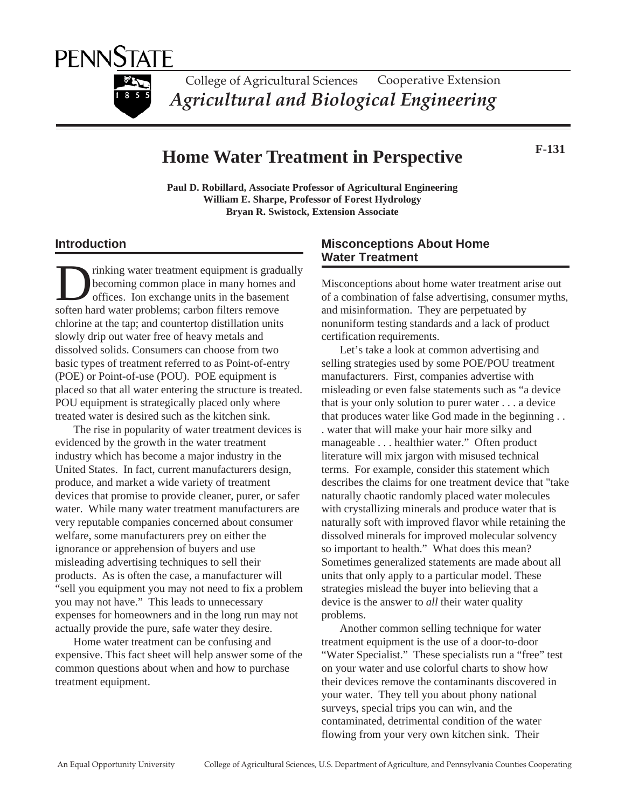

College of Agricultural Sciences *Agricultural and Biological Engineering* Cooperative Extension

# **Home Water Treatment in Perspective**

**F-131**

**Paul D. Robillard, Associate Professor of Agricultural Engineering William E. Sharpe, Professor of Forest Hydrology Bryan R. Swistock, Extension Associate**

## **Introduction**

rinking water treatment equipment is gradually becoming common place in many homes and offices. Ion exchange units in the basement soften hard water problems; carbon filters remove chlorine at the tap; and countertop distillation units slowly drip out water free of heavy metals and dissolved solids. Consumers can choose from two basic types of treatment referred to as Point-of-entry (POE) or Point-of-use (POU). POE equipment is placed so that all water entering the structure is treated. POU equipment is strategically placed only where treated water is desired such as the kitchen sink.

The rise in popularity of water treatment devices is evidenced by the growth in the water treatment industry which has become a major industry in the United States. In fact, current manufacturers design, produce, and market a wide variety of treatment devices that promise to provide cleaner, purer, or safer water. While many water treatment manufacturers are very reputable companies concerned about consumer welfare, some manufacturers prey on either the ignorance or apprehension of buyers and use misleading advertising techniques to sell their products. As is often the case, a manufacturer will "sell you equipment you may not need to fix a problem you may not have." This leads to unnecessary expenses for homeowners and in the long run may not actually provide the pure, safe water they desire.

Home water treatment can be confusing and expensive. This fact sheet will help answer some of the common questions about when and how to purchase treatment equipment.

## **Misconceptions About Home Water Treatment**

Misconceptions about home water treatment arise out of a combination of false advertising, consumer myths, and misinformation. They are perpetuated by nonuniform testing standards and a lack of product certification requirements.

Let's take a look at common advertising and selling strategies used by some POE/POU treatment manufacturers. First, companies advertise with misleading or even false statements such as "a device that is your only solution to purer water . . . a device that produces water like God made in the beginning . . . water that will make your hair more silky and manageable . . . healthier water." Often product literature will mix jargon with misused technical terms. For example, consider this statement which describes the claims for one treatment device that "take naturally chaotic randomly placed water molecules with crystallizing minerals and produce water that is naturally soft with improved flavor while retaining the dissolved minerals for improved molecular solvency so important to health." What does this mean? Sometimes generalized statements are made about all units that only apply to a particular model. These strategies mislead the buyer into believing that a device is the answer to *all* their water quality problems.

Another common selling technique for water treatment equipment is the use of a door-to-door "Water Specialist." These specialists run a "free" test on your water and use colorful charts to show how their devices remove the contaminants discovered in your water. They tell you about phony national surveys, special trips you can win, and the contaminated, detrimental condition of the water flowing from your very own kitchen sink. Their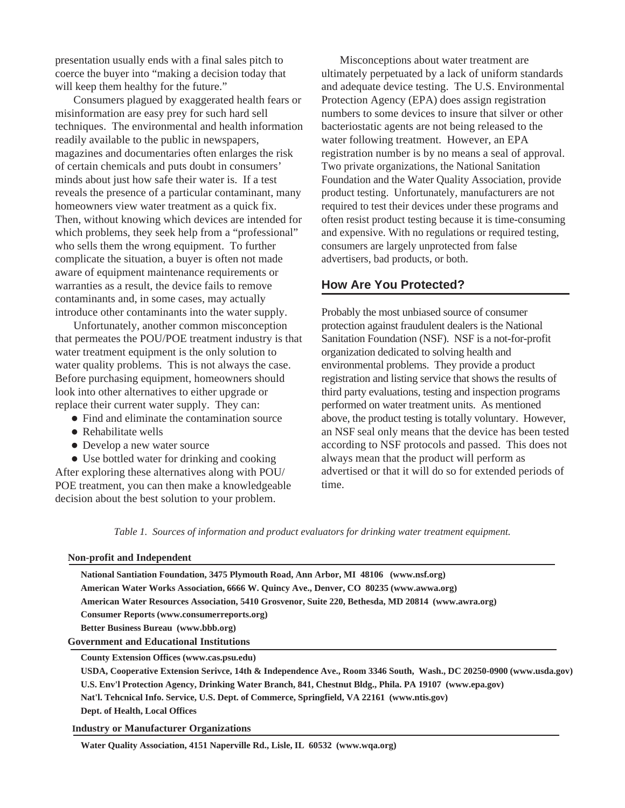presentation usually ends with a final sales pitch to coerce the buyer into "making a decision today that will keep them healthy for the future."

Consumers plagued by exaggerated health fears or misinformation are easy prey for such hard sell techniques. The environmental and health information readily available to the public in newspapers, magazines and documentaries often enlarges the risk of certain chemicals and puts doubt in consumers' minds about just how safe their water is. If a test reveals the presence of a particular contaminant, many homeowners view water treatment as a quick fix. Then, without knowing which devices are intended for which problems, they seek help from a "professional" who sells them the wrong equipment. To further complicate the situation, a buyer is often not made aware of equipment maintenance requirements or warranties as a result, the device fails to remove contaminants and, in some cases, may actually introduce other contaminants into the water supply.

Unfortunately, another common misconception that permeates the POU/POE treatment industry is that water treatment equipment is the only solution to water quality problems. This is not always the case. Before purchasing equipment, homeowners should look into other alternatives to either upgrade or replace their current water supply. They can:

- Find and eliminate the contamination source
- Rehabilitate wells
- Develop a new water source

 Use bottled water for drinking and cooking After exploring these alternatives along with POU/ POE treatment, you can then make a knowledgeable decision about the best solution to your problem.

Misconceptions about water treatment are ultimately perpetuated by a lack of uniform standards and adequate device testing. The U.S. Environmental Protection Agency (EPA) does assign registration numbers to some devices to insure that silver or other bacteriostatic agents are not being released to the water following treatment. However, an EPA registration number is by no means a seal of approval. Two private organizations, the National Sanitation Foundation and the Water Quality Association, provide product testing. Unfortunately, manufacturers are not required to test their devices under these programs and often resist product testing because it is time-consuming and expensive. With no regulations or required testing, consumers are largely unprotected from false advertisers, bad products, or both.

## **How Are You Protected?**

Probably the most unbiased source of consumer protection against fraudulent dealers is the National Sanitation Foundation (NSF). NSF is a not-for-profit organization dedicated to solving health and environmental problems. They provide a product registration and listing service that shows the results of third party evaluations, testing and inspection programs performed on water treatment units. As mentioned above, the product testing is totally voluntary. However, an NSF seal only means that the device has been tested according to NSF protocols and passed. This does not always mean that the product will perform as advertised or that it will do so for extended periods of time.

*Table 1. Sources of information and product evaluators for drinking water treatment equipment.*

#### **Non-profit and Independent**

| National Santiation Foundation, 3475 Plymouth Road, Ann Arbor, MI 48106 (www.nsf.org)<br>American Water Works Association, 6666 W. Quincy Ave., Denver, CO 80235 (www.awwa.org) |
|---------------------------------------------------------------------------------------------------------------------------------------------------------------------------------|
| American Water Resources Association, 5410 Grosvenor, Suite 220, Bethesda, MD 20814 (www.awra.org)                                                                              |
| <b>Consumer Reports (www.consumerreports.org)</b>                                                                                                                               |
| Better Business Bureau (www.bbb.org)                                                                                                                                            |
| <b>Government and Educational Institutions</b>                                                                                                                                  |
| <b>County Extension Offices (www.cas.psu.edu)</b>                                                                                                                               |
| USDA, Cooperative Extension Serivce, 14th & Independence Ave., Room 3346 South, Wash., DC 20250-0900 (www.usda.gov)                                                             |
|                                                                                                                                                                                 |

**U.S. Env'l Protection Agency, Drinking Water Branch, 841, Chestnut Bldg., Phila. PA 19107 (www.epa.gov) Nat'l. Tehcnical Info. Service, U.S. Dept. of Commerce, Springfield, VA 22161 (www.ntis.gov)**

**Dept. of Health, Local Offices**

**Industry or Manufacturer Organizations**

**Water Quality Association, 4151 Naperville Rd., Lisle, IL 60532 (www.wqa.org)**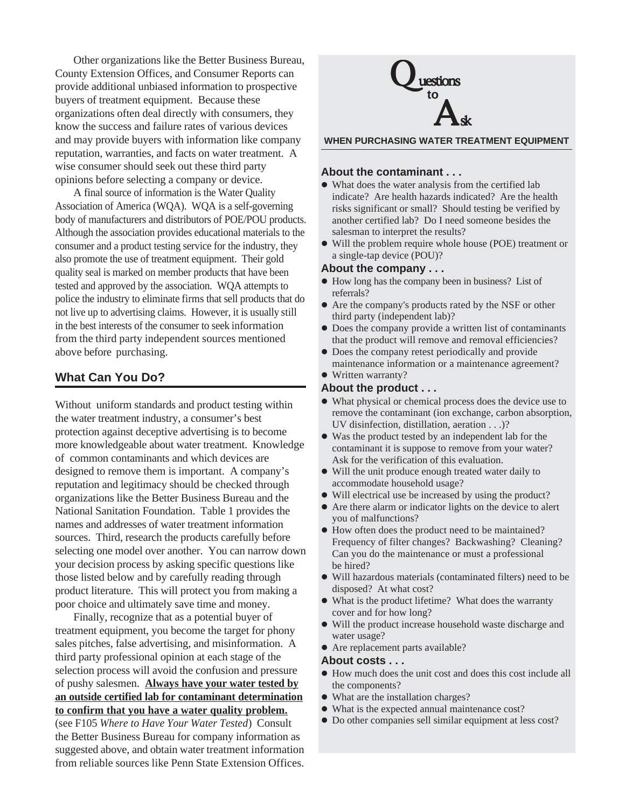Other organizations like the Better Business Bureau, County Extension Offices, and Consumer Reports can provide additional unbiased information to prospective buyers of treatment equipment. Because these organizations often deal directly with consumers, they know the success and failure rates of various devices and may provide buyers with information like company reputation, warranties, and facts on water treatment. A wise consumer should seek out these third party opinions before selecting a company or device.

A final source of information is the Water Quality Association of America (WQA). WQA is a self-governing body of manufacturers and distributors of POE/POU products. Although the association provides educational materials to the consumer and a product testing service for the industry, they also promote the use of treatment equipment. Their gold quality seal is marked on member products that have been tested and approved by the association. WQA attempts to police the industry to eliminate firms that sell products that do not live up to advertising claims. However, it is usually still in the best interests of the consumer to seek information from the third party independent sources mentioned above before purchasing.

## **What Can You Do?**

Without uniform standards and product testing within the water treatment industry, a consumer's best protection against deceptive advertising is to become more knowledgeable about water treatment. Knowledge of common contaminants and which devices are designed to remove them is important. A company's reputation and legitimacy should be checked through organizations like the Better Business Bureau and the National Sanitation Foundation. Table 1 provides the names and addresses of water treatment information sources. Third, research the products carefully before selecting one model over another. You can narrow down your decision process by asking specific questions like those listed below and by carefully reading through product literature. This will protect you from making a poor choice and ultimately save time and money.

Finally, recognize that as a potential buyer of treatment equipment, you become the target for phony sales pitches, false advertising, and misinformation. A third party professional opinion at each stage of the selection process will avoid the confusion and pressure of pushy salesmen. **Always have your water tested by an outside certified lab for contaminant determination to confirm that you have a water quality problem.** (see F105 *Where to Have Your Water Tested*) Consult the Better Business Bureau for company information as suggested above, and obtain water treatment information from reliable sources like Penn State Extension Offices.



**WHEN PURCHASING WATER TREATMENT EQUIPMENT**

#### **About the contaminant . . .**

- What does the water analysis from the certified lab indicate? Are health hazards indicated? Are the health risks significant or small? Should testing be verified by another certified lab? Do I need someone besides the salesman to interpret the results?
- Will the problem require whole house (POE) treatment or a single-tap device (POU)?

#### **About the company . . .**

- $\bullet$  How long has the company been in business? List of referrals?
- Are the company's products rated by the NSF or other third party (independent lab)?
- Does the company provide a written list of contaminants that the product will remove and removal efficiencies?
- Does the company retest periodically and provide maintenance information or a maintenance agreement?
- Written warranty?

### **About the product . . .**

- What physical or chemical process does the device use to remove the contaminant (ion exchange, carbon absorption, UV disinfection, distillation, aeration . . .)?
- Was the product tested by an independent lab for the contaminant it is suppose to remove from your water? Ask for the verification of this evaluation.
- Will the unit produce enough treated water daily to accommodate household usage?
- Will electrical use be increased by using the product?
- Are there alarm or indicator lights on the device to alert you of malfunctions?
- How often does the product need to be maintained? Frequency of filter changes? Backwashing? Cleaning? Can you do the maintenance or must a professional be hired?
- Will hazardous materials (contaminated filters) need to be disposed? At what cost?
- What is the product lifetime? What does the warranty cover and for how long?
- Will the product increase household waste discharge and water usage?
- Are replacement parts available?

#### **About costs . . .**

- How much does the unit cost and does this cost include all the components?
- What are the installation charges?
- What is the expected annual maintenance cost?
- Do other companies sell similar equipment at less cost?